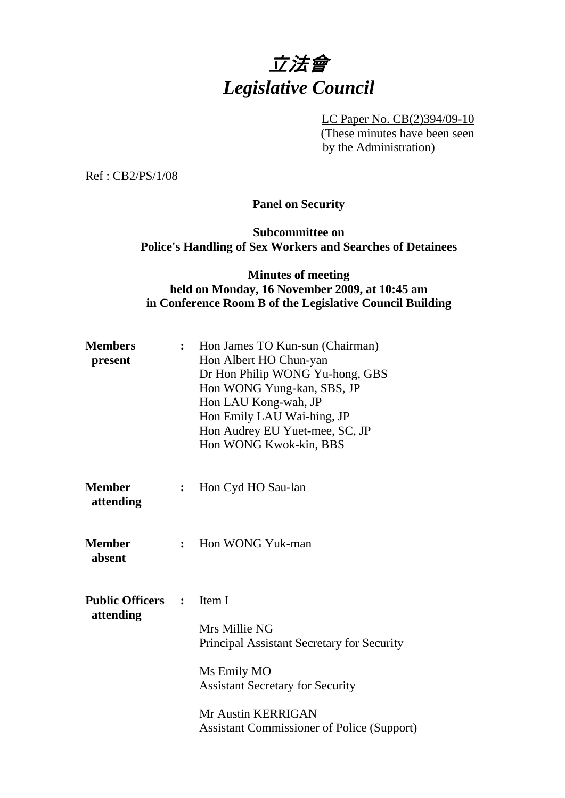# 立法會 *Legislative Council*

LC Paper No. CB(2)394/09-10 (These minutes have been seen by the Administration)

Ref : CB2/PS/1/08

**Panel on Security** 

**Subcommittee on Police's Handling of Sex Workers and Searches of Detainees** 

## **Minutes of meeting held on Monday, 16 November 2009, at 10:45 am in Conference Room B of the Legislative Council Building**

| <b>Members</b><br>present               | $\ddot{\cdot}$ | Hon James TO Kun-sun (Chairman)<br>Hon Albert HO Chun-yan<br>Dr Hon Philip WONG Yu-hong, GBS<br>Hon WONG Yung-kan, SBS, JP<br>Hon LAU Kong-wah, JP<br>Hon Emily LAU Wai-hing, JP<br>Hon Audrey EU Yuet-mee, SC, JP<br>Hon WONG Kwok-kin, BBS |
|-----------------------------------------|----------------|----------------------------------------------------------------------------------------------------------------------------------------------------------------------------------------------------------------------------------------------|
| <b>Member</b><br>attending              | $\ddot{\cdot}$ | Hon Cyd HO Sau-lan                                                                                                                                                                                                                           |
| Member<br>absent                        | $\mathbf{r}$   | Hon WONG Yuk-man                                                                                                                                                                                                                             |
| <b>Public Officers : :</b><br>attending |                | Item I<br>Mrs Millie NG<br>Principal Assistant Secretary for Security<br>Ms Emily MO<br><b>Assistant Secretary for Security</b><br>Mr Austin KERRIGAN<br><b>Assistant Commissioner of Police (Support)</b>                                   |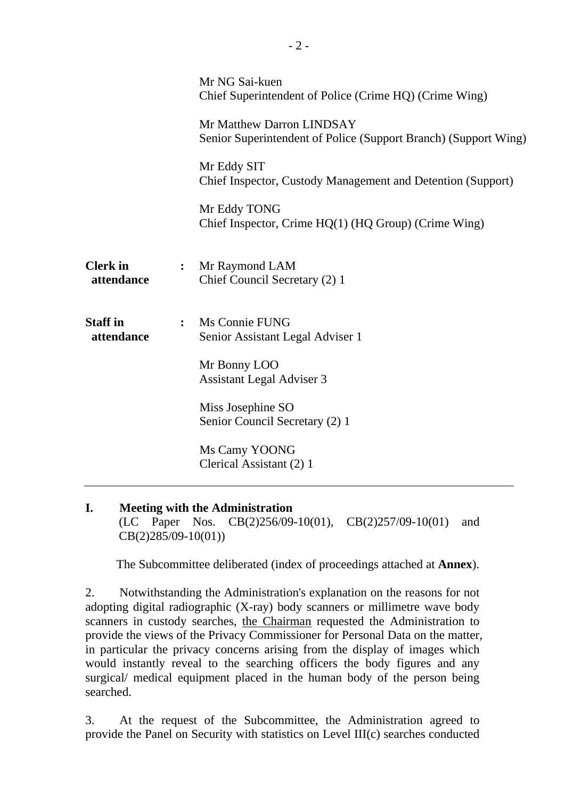|                               |                | Mr NG Sai-kuen<br>Chief Superintendent of Police (Crime HQ) (Crime Wing)                     |
|-------------------------------|----------------|----------------------------------------------------------------------------------------------|
|                               |                | Mr Matthew Darron LINDSAY<br>Senior Superintendent of Police (Support Branch) (Support Wing) |
|                               |                | Mr Eddy SIT<br>Chief Inspector, Custody Management and Detention (Support)                   |
|                               |                | Mr Eddy TONG<br>Chief Inspector, Crime $HQ(1)$ ( $HQ$ Group) (Crime Wing)                    |
| <b>Clerk</b> in<br>attendance | $\ddot{\cdot}$ | Mr Raymond LAM<br>Chief Council Secretary (2) 1                                              |
| <b>Staff in</b><br>attendance | $\ddot{\cdot}$ | Ms Connie FUNG<br>Senior Assistant Legal Adviser 1                                           |
|                               |                | Mr Bonny LOO<br><b>Assistant Legal Adviser 3</b>                                             |
|                               |                | Miss Josephine SO<br>Senior Council Secretary (2) 1                                          |
|                               |                | Ms Camy YOONG<br>Clerical Assistant (2) 1                                                    |

#### **I. Meeting with the Administration**  (LC Paper Nos. CB(2)256/09-10(01), CB(2)257/09-10(01) and CB(2)285/09-10(01))

1. The Subcommittee deliberated (index of proceedings attached at **Annex**).

2. Notwithstanding the Administration's explanation on the reasons for not adopting digital radiographic (X-ray) body scanners or millimetre wave body scanners in custody searches, the Chairman requested the Administration to provide the views of the Privacy Commissioner for Personal Data on the matter, in particular the privacy concerns arising from the display of images which would instantly reveal to the searching officers the body figures and any surgical/ medical equipment placed in the human body of the person being searched.

3. At the request of the Subcommittee, the Administration agreed to provide the Panel on Security with statistics on Level III(c) searches conducted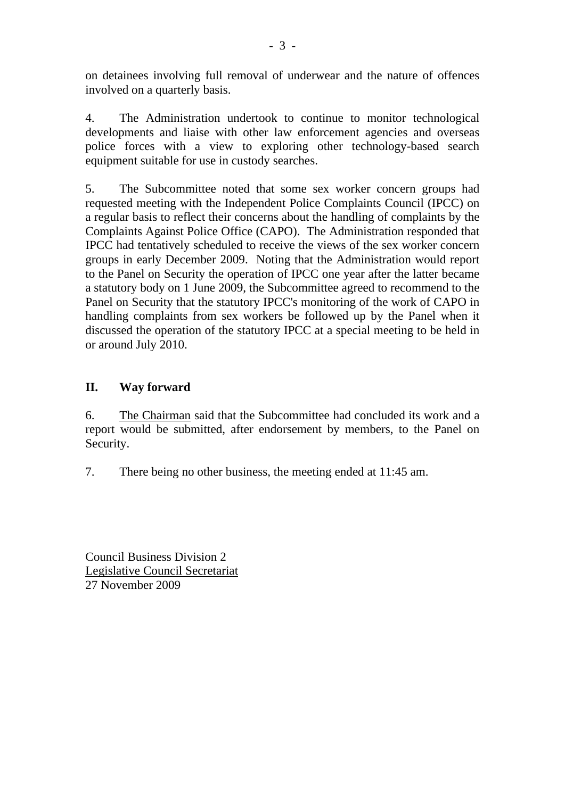on detainees involving full removal of underwear and the nature of offences involved on a quarterly basis.

4. The Administration undertook to continue to monitor technological developments and liaise with other law enforcement agencies and overseas police forces with a view to exploring other technology-based search equipment suitable for use in custody searches.

5. The Subcommittee noted that some sex worker concern groups had requested meeting with the Independent Police Complaints Council (IPCC) on a regular basis to reflect their concerns about the handling of complaints by the Complaints Against Police Office (CAPO). The Administration responded that IPCC had tentatively scheduled to receive the views of the sex worker concern groups in early December 2009. Noting that the Administration would report to the Panel on Security the operation of IPCC one year after the latter became a statutory body on 1 June 2009, the Subcommittee agreed to recommend to the Panel on Security that the statutory IPCC's monitoring of the work of CAPO in handling complaints from sex workers be followed up by the Panel when it discussed the operation of the statutory IPCC at a special meeting to be held in or around July 2010.

## **II. Way forward**

6. The Chairman said that the Subcommittee had concluded its work and a report would be submitted, after endorsement by members, to the Panel on Security.

7. There being no other business, the meeting ended at 11:45 am.

Council Business Division 2 Legislative Council Secretariat 27 November 2009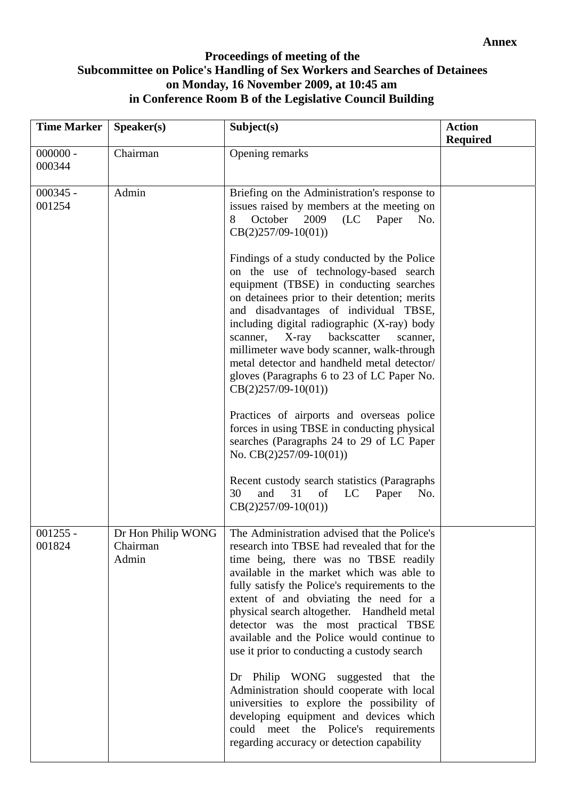## **Proceedings of meeting of the Subcommittee on Police's Handling of Sex Workers and Searches of Detainees on Monday, 16 November 2009, at 10:45 am in Conference Room B of the Legislative Council Building**

| <b>Time Marker</b>   | Speaker(s)                              | Subject(s)                                                                                                                                                                                                                                                                                                                                                                                                                                                                                                                                                                                                                                                                                                                                                                                                                                                                                                                                                       | <b>Action</b><br><b>Required</b> |
|----------------------|-----------------------------------------|------------------------------------------------------------------------------------------------------------------------------------------------------------------------------------------------------------------------------------------------------------------------------------------------------------------------------------------------------------------------------------------------------------------------------------------------------------------------------------------------------------------------------------------------------------------------------------------------------------------------------------------------------------------------------------------------------------------------------------------------------------------------------------------------------------------------------------------------------------------------------------------------------------------------------------------------------------------|----------------------------------|
| $000000 -$<br>000344 | Chairman                                | Opening remarks                                                                                                                                                                                                                                                                                                                                                                                                                                                                                                                                                                                                                                                                                                                                                                                                                                                                                                                                                  |                                  |
| $000345 -$<br>001254 | Admin                                   | Briefing on the Administration's response to<br>issues raised by members at the meeting on<br>October<br>8<br>2009<br>(LC)<br>Paper<br>No.<br>$CB(2)257/09-10(01))$<br>Findings of a study conducted by the Police<br>on the use of technology-based search<br>equipment (TBSE) in conducting searches<br>on detainees prior to their detention; merits<br>and disadvantages of individual TBSE,<br>including digital radiographic (X-ray) body<br>backscatter<br>X-ray<br>scanner,<br>scanner,<br>millimeter wave body scanner, walk-through<br>metal detector and handheld metal detector/<br>gloves (Paragraphs 6 to 23 of LC Paper No.<br>$CB(2)257/09-10(01))$<br>Practices of airports and overseas police<br>forces in using TBSE in conducting physical<br>searches (Paragraphs 24 to 29 of LC Paper<br>No. $CB(2)257/09-10(01)$<br>Recent custody search statistics (Paragraphs<br>30<br>and<br>31<br>of<br>LC<br>Paper<br>No.<br>$CB(2)257/09-10(01))$ |                                  |
| $001255 -$<br>001824 | Dr Hon Philip WONG<br>Chairman<br>Admin | The Administration advised that the Police's<br>research into TBSE had revealed that for the<br>time being, there was no TBSE readily<br>available in the market which was able to<br>fully satisfy the Police's requirements to the<br>extent of and obviating the need for a<br>physical search altogether. Handheld metal<br>detector was the most practical TBSE<br>available and the Police would continue to<br>use it prior to conducting a custody search<br>Dr Philip WONG suggested that the<br>Administration should cooperate with local<br>universities to explore the possibility of<br>developing equipment and devices which<br>could meet the Police's requirements<br>regarding accuracy or detection capability                                                                                                                                                                                                                               |                                  |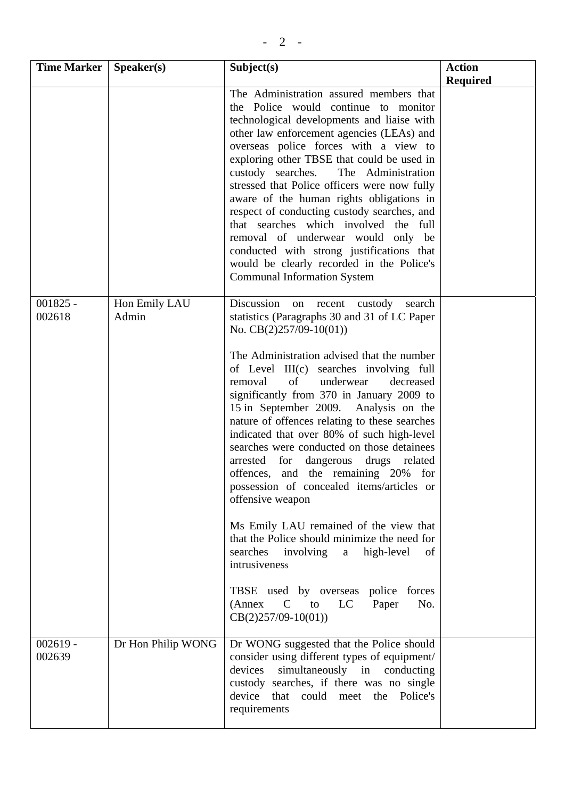| <b>Time Marker</b>   | Speaker(s)             | Subject(s)                                                                                                                                                                                                                                                                                                                                                                                                                                                                                                                                                                                                                                                                                                                 | <b>Action</b>   |
|----------------------|------------------------|----------------------------------------------------------------------------------------------------------------------------------------------------------------------------------------------------------------------------------------------------------------------------------------------------------------------------------------------------------------------------------------------------------------------------------------------------------------------------------------------------------------------------------------------------------------------------------------------------------------------------------------------------------------------------------------------------------------------------|-----------------|
|                      |                        |                                                                                                                                                                                                                                                                                                                                                                                                                                                                                                                                                                                                                                                                                                                            | <b>Required</b> |
|                      |                        | The Administration assured members that<br>the Police would continue to monitor<br>technological developments and liaise with<br>other law enforcement agencies (LEAs) and<br>overseas police forces with a view to<br>exploring other TBSE that could be used in<br>custody searches.<br>The Administration<br>stressed that Police officers were now fully<br>aware of the human rights obligations in<br>respect of conducting custody searches, and<br>that searches which involved the full<br>removal of underwear would only be<br>conducted with strong justifications that<br>would be clearly recorded in the Police's<br><b>Communal Information System</b>                                                     |                 |
| $001825 -$<br>002618 | Hon Emily LAU<br>Admin | Discussion on recent custody<br>search<br>statistics (Paragraphs 30 and 31 of LC Paper<br>No. $CB(2)257/09-10(01)$                                                                                                                                                                                                                                                                                                                                                                                                                                                                                                                                                                                                         |                 |
|                      |                        | The Administration advised that the number<br>of Level III(c) searches involving full<br>underwear<br>decreased<br>removal<br>of<br>significantly from 370 in January 2009 to<br>15 in September 2009. Analysis on the<br>nature of offences relating to these searches<br>indicated that over 80% of such high-level<br>searches were conducted on those detainees<br>arrested<br>for dangerous drugs related<br>offences, and the remaining 20% for<br>possession of concealed items/articles or<br>offensive weapon<br>Ms Emily LAU remained of the view that<br>that the Police should minimize the need for<br>searches<br>involving<br>high-level<br>a<br>of<br>intrusiveness<br>TBSE used by overseas police forces |                 |
|                      |                        | (Annex C to<br>LC<br>Paper<br>No.<br>$CB(2)257/09-10(01))$                                                                                                                                                                                                                                                                                                                                                                                                                                                                                                                                                                                                                                                                 |                 |
| $002619 -$<br>002639 | Dr Hon Philip WONG     | Dr WONG suggested that the Police should<br>consider using different types of equipment/<br>simultaneously in conducting<br>devices<br>custody searches, if there was no single<br>device that could meet the Police's<br>requirements                                                                                                                                                                                                                                                                                                                                                                                                                                                                                     |                 |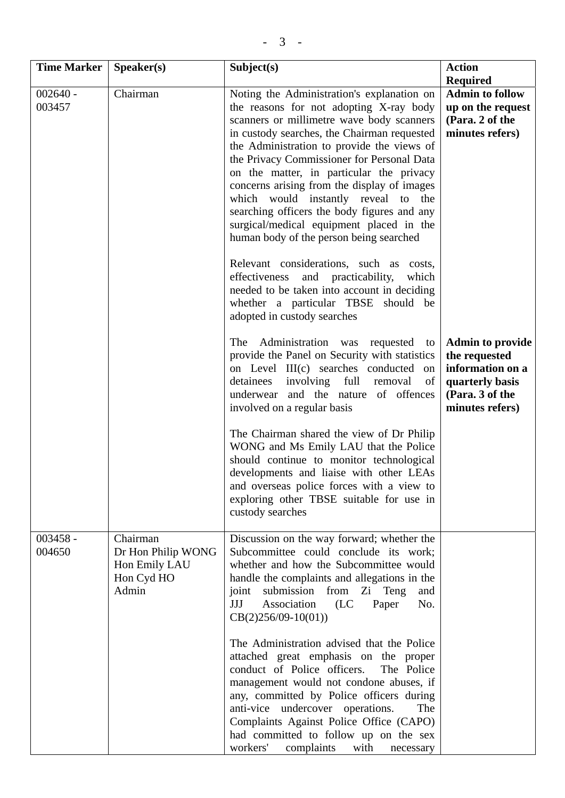| <b>Time Marker</b>   | Speaker(s)                                                             | Subject(s)                                                                                                                                                                                                                                                                                                                                                                                                                                                                                                                                                                                                                                                                                                                           | <b>Action</b><br><b>Required</b>                                                                                      |
|----------------------|------------------------------------------------------------------------|--------------------------------------------------------------------------------------------------------------------------------------------------------------------------------------------------------------------------------------------------------------------------------------------------------------------------------------------------------------------------------------------------------------------------------------------------------------------------------------------------------------------------------------------------------------------------------------------------------------------------------------------------------------------------------------------------------------------------------------|-----------------------------------------------------------------------------------------------------------------------|
| $002640 -$<br>003457 | Chairman                                                               | Noting the Administration's explanation on<br>the reasons for not adopting X-ray body<br>scanners or millimetre wave body scanners<br>in custody searches, the Chairman requested<br>the Administration to provide the views of<br>the Privacy Commissioner for Personal Data<br>on the matter, in particular the privacy<br>concerns arising from the display of images<br>which would instantly reveal to the<br>searching officers the body figures and any<br>surgical/medical equipment placed in the<br>human body of the person being searched<br>Relevant considerations, such as costs,<br>effectiveness and practicability,<br>which<br>needed to be taken into account in deciding<br>whether a particular TBSE should be | <b>Admin to follow</b><br>up on the request<br>(Para. 2 of the<br>minutes refers)                                     |
|                      |                                                                        | adopted in custody searches<br>Administration was<br>The<br>requested<br>to<br>provide the Panel on Security with statistics<br>on Level III(c) searches conducted on<br>detainees<br>involving full<br>removal<br>of<br>underwear and the nature of offences<br>involved on a regular basis                                                                                                                                                                                                                                                                                                                                                                                                                                         | <b>Admin to provide</b><br>the requested<br>information on a<br>quarterly basis<br>(Para. 3 of the<br>minutes refers) |
|                      |                                                                        | The Chairman shared the view of Dr Philip<br>WONG and Ms Emily LAU that the Police<br>should continue to monitor technological<br>developments and liaise with other LEAs<br>and overseas police forces with a view to<br>exploring other TBSE suitable for use in<br>custody searches                                                                                                                                                                                                                                                                                                                                                                                                                                               |                                                                                                                       |
| $003458 -$<br>004650 | Chairman<br>Dr Hon Philip WONG<br>Hon Emily LAU<br>Hon Cyd HO<br>Admin | Discussion on the way forward; whether the<br>Subcommittee could conclude its work;<br>whether and how the Subcommittee would<br>handle the complaints and allegations in the<br>submission from<br>Zi Teng<br>joint<br>and<br>Association<br>(LC)<br>JJJ<br>Paper<br>No.<br>$CB(2)256/09-10(01))$                                                                                                                                                                                                                                                                                                                                                                                                                                   |                                                                                                                       |
|                      |                                                                        | The Administration advised that the Police<br>attached great emphasis on the proper<br>conduct of Police officers.<br>The Police<br>management would not condone abuses, if<br>any, committed by Police officers during<br>anti-vice undercover operations.<br>The<br>Complaints Against Police Office (CAPO)<br>had committed to follow up on the sex<br>workers'<br>complaints<br>with<br>necessary                                                                                                                                                                                                                                                                                                                                |                                                                                                                       |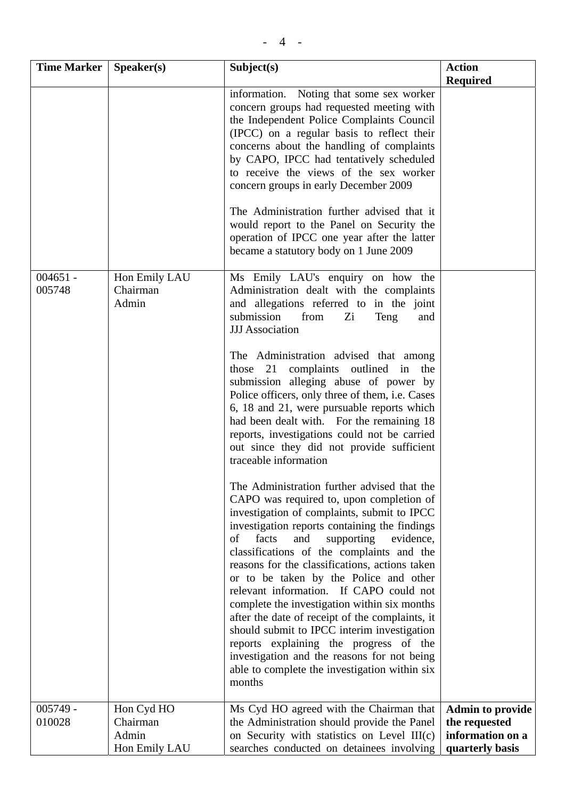| <b>Time Marker</b>   | Speaker(s)                         | Subject(s)                                                                                                                                                                                                                                                                                                                                                                                                                                                                                                                                                                                                                                                                                                                                                                                                                                                                                                                                                                                                                                                                                                                                                                                                                                                                                                                                 | <b>Action</b>                     |
|----------------------|------------------------------------|--------------------------------------------------------------------------------------------------------------------------------------------------------------------------------------------------------------------------------------------------------------------------------------------------------------------------------------------------------------------------------------------------------------------------------------------------------------------------------------------------------------------------------------------------------------------------------------------------------------------------------------------------------------------------------------------------------------------------------------------------------------------------------------------------------------------------------------------------------------------------------------------------------------------------------------------------------------------------------------------------------------------------------------------------------------------------------------------------------------------------------------------------------------------------------------------------------------------------------------------------------------------------------------------------------------------------------------------|-----------------------------------|
|                      |                                    |                                                                                                                                                                                                                                                                                                                                                                                                                                                                                                                                                                                                                                                                                                                                                                                                                                                                                                                                                                                                                                                                                                                                                                                                                                                                                                                                            | <b>Required</b>                   |
|                      |                                    | information. Noting that some sex worker<br>concern groups had requested meeting with<br>the Independent Police Complaints Council<br>(IPCC) on a regular basis to reflect their<br>concerns about the handling of complaints<br>by CAPO, IPCC had tentatively scheduled<br>to receive the views of the sex worker<br>concern groups in early December 2009<br>The Administration further advised that it<br>would report to the Panel on Security the<br>operation of IPCC one year after the latter<br>became a statutory body on 1 June 2009                                                                                                                                                                                                                                                                                                                                                                                                                                                                                                                                                                                                                                                                                                                                                                                            |                                   |
|                      |                                    |                                                                                                                                                                                                                                                                                                                                                                                                                                                                                                                                                                                                                                                                                                                                                                                                                                                                                                                                                                                                                                                                                                                                                                                                                                                                                                                                            |                                   |
| $004651 -$<br>005748 | Hon Emily LAU<br>Chairman<br>Admin | Ms Emily LAU's enquiry on how the<br>Administration dealt with the complaints<br>and allegations referred to in the joint<br>submission<br>from<br>Zi<br>Teng<br>and<br><b>JJJ</b> Association<br>The Administration advised that among<br>complaints outlined in<br>those<br>21<br>the<br>submission alleging abuse of power by<br>Police officers, only three of them, i.e. Cases<br>6, 18 and 21, were pursuable reports which<br>had been dealt with. For the remaining 18<br>reports, investigations could not be carried<br>out since they did not provide sufficient<br>traceable information<br>The Administration further advised that the<br>CAPO was required to, upon completion of<br>investigation of complaints, submit to IPCC<br>investigation reports containing the findings<br>facts<br>supporting<br>of<br>and<br>evidence,<br>classifications of the complaints and the<br>reasons for the classifications, actions taken<br>or to be taken by the Police and other<br>relevant information. If CAPO could not<br>complete the investigation within six months<br>after the date of receipt of the complaints, it<br>should submit to IPCC interim investigation<br>reports explaining the progress of the<br>investigation and the reasons for not being<br>able to complete the investigation within six<br>months |                                   |
| $005749 -$           | Hon Cyd HO                         | Ms Cyd HO agreed with the Chairman that                                                                                                                                                                                                                                                                                                                                                                                                                                                                                                                                                                                                                                                                                                                                                                                                                                                                                                                                                                                                                                                                                                                                                                                                                                                                                                    | <b>Admin to provide</b>           |
| 010028               | Chairman<br>Admin                  | the Administration should provide the Panel<br>on Security with statistics on Level III(c)                                                                                                                                                                                                                                                                                                                                                                                                                                                                                                                                                                                                                                                                                                                                                                                                                                                                                                                                                                                                                                                                                                                                                                                                                                                 | the requested<br>information on a |
|                      | Hon Emily LAU                      | searches conducted on detainees involving                                                                                                                                                                                                                                                                                                                                                                                                                                                                                                                                                                                                                                                                                                                                                                                                                                                                                                                                                                                                                                                                                                                                                                                                                                                                                                  | quarterly basis                   |